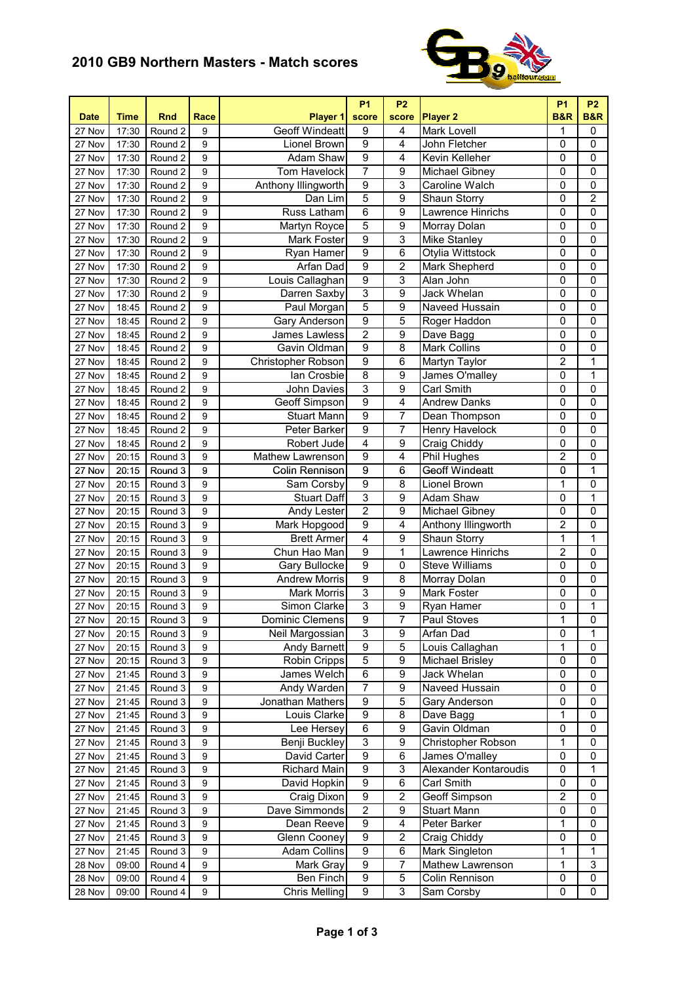## **2010 GB9 Northern Masters - Match scores**



| <b>Date</b>         | <b>Time</b> | <b>Rnd</b> | Race             | Player 1              | <b>P1</b><br>score  | <b>P2</b><br>score      | <b>Player 2</b>        | <b>P1</b><br><b>B&amp;R</b> | <b>P2</b><br><b>B&amp;R</b> |
|---------------------|-------------|------------|------------------|-----------------------|---------------------|-------------------------|------------------------|-----------------------------|-----------------------------|
| 27 Nov              | 17:30       | Round 2    | 9                | <b>Geoff Windeatt</b> | 9                   | 4                       | Mark Lovell            | 1                           | 0                           |
| 27 Nov              | 17:30       | Round 2    | 9                | Lionel Brown          | $\overline{9}$      | 4                       | John Fletcher          | 0                           | $\mathbf 0$                 |
| 27 Nov              | 17:30       | Round 2    | 9                | <b>Adam Shaw</b>      | $\overline{9}$      | 4                       | Kevin Kelleher         | 0                           | 0                           |
| 27 Nov              | 17:30       | Round 2    | $\boldsymbol{9}$ | <b>Tom Havelock</b>   | $\overline{7}$      | $\overline{9}$          | Michael Gibney         | 0                           | $\mathbf 0$                 |
| 27 Nov              | 17:30       | Round 2    | $\boldsymbol{9}$ | Anthony Illingworth   | $\overline{9}$      | 3                       | Caroline Walch         | $\mathsf 0$                 | $\overline{0}$              |
| 27 Nov              | 17:30       | Round 2    | $\boldsymbol{9}$ | Dan Lim               | 5                   | $\overline{9}$          | <b>Shaun Storry</b>    | 0                           | $\overline{2}$              |
| 27 Nov              | 17:30       | Round 2    | $\boldsymbol{9}$ | <b>Russ Latham</b>    | $\overline{6}$      | 9                       | Lawrence Hinrichs      | 0                           | $\mathbf 0$                 |
| 27 Nov              | 17:30       | Round 2    | $\boldsymbol{9}$ | Martyn Royce          | $\overline{5}$      | 9                       | Morray Dolan           | 0                           | $\mathbf 0$                 |
| 27 Nov              | 17:30       | Round 2    | $\boldsymbol{9}$ | Mark Foster           | $\overline{9}$      | $\overline{3}$          | <b>Mike Stanley</b>    | $\overline{0}$              | $\overline{0}$              |
| 27 Nov              | 17:30       | Round 2    | 9                | Ryan Hamer            | $\overline{9}$      | 6                       | Otylia Wittstock       | $\pmb{0}$                   | $\pmb{0}$                   |
| 27 Nov              | 17:30       | Round 2    | 9                | <b>Arfan Dad</b>      | $\overline{9}$      | 2                       | Mark Shepherd          | $\pmb{0}$                   | $\mathbf 0$                 |
| 27 Nov              | 17:30       | Round 2    | 9                | Louis Callaghan       | $\overline{9}$      | 3                       | Alan John              | 0                           | $\mathbf 0$                 |
| 27 Nov              | 17:30       | Round 2    | 9                | Darren Saxby          | 3                   | 9                       | Jack Whelan            | 0                           | 0                           |
| 27 Nov              | 18:45       | Round 2    | 9                | Paul Morgan           | $\overline{5}$      | 9                       | Naveed Hussain         | 0                           | $\mathbf 0$                 |
| 27 Nov              | 18:45       | Round 2    | $\boldsymbol{9}$ | Gary Anderson         | $\overline{9}$      | 5                       | Roger Haddon           | $\mathsf 0$                 | $\mathbf 0$                 |
| 27 Nov              | 18:45       | Round 2    | $\boldsymbol{9}$ | James Lawless         | $\overline{2}$      | $\overline{9}$          | Dave Bagg              | 0                           | $\mathbf 0$                 |
| 27 Nov              | 18:45       | Round 2    | 9                | Gavin Oldman          | $\overline{9}$      | $\overline{8}$          | Mark Collins           | $\pmb{0}$                   | $\mathbf 0$                 |
| 27 Nov              | 18:45       | Round 2    | 9                | Christopher Robson    | $\overline{9}$      | 6                       | Martyn Taylor          | $\overline{2}$              | 1                           |
| 27 Nov              | 18:45       | Round 2    | 9                | lan Crosbie           | $\overline{8}$      | 9                       | James O'malley         | 0                           | 1                           |
| 27 Nov              | 18:45       | Round 2    | 9                | John Davies           | $\overline{3}$      | $\overline{9}$          | Carl Smith             | 0                           | $\overline{0}$              |
| 27 Nov              | 18:45       | Round 2    | 9                | Geoff Simpson         | $\overline{9}$      | 4                       | <b>Andrew Danks</b>    | 0                           | $\mathbf 0$                 |
| 27 Nov              | 18:45       | Round 2    | 9                | <b>Stuart Mann</b>    | $\overline{9}$      | 7                       | Dean Thompson          | 0                           | $\mathbf 0$                 |
| 27 Nov              | 18:45       | Round 2    | 9                | Peter Barker          | $\overline{9}$      | $\overline{7}$          | Henry Havelock         | 0                           | $\mathbf 0$                 |
| 27 Nov              |             | Round 2    | 9                | Robert Jude           | 4                   | $\overline{9}$          | <b>Craig Chiddy</b>    | 0                           | $\mathbf 0$                 |
| 27 Nov              | 18:45       | Round 3    | 9                | Mathew Lawrenson      | $\overline{9}$      | $\overline{4}$          | <b>Phil Hughes</b>     | $\overline{2}$              | $\mathbf 0$                 |
|                     | 20:15       |            | $\boldsymbol{9}$ |                       | $\overline{9}$      |                         | <b>Geoff Windeatt</b>  | $\overline{0}$              | $\overline{\mathbf{1}}$     |
| 27 Nov              | 20:15       | Round 3    |                  | Colin Rennison        |                     | 6                       |                        |                             |                             |
| 27 Nov              | 20:15       | Round 3    | $\boldsymbol{9}$ | Sam Corsby            | $\overline{9}$      | 8                       | Lionel Brown           | $\mathbf 1$                 | $\mathbf 0$                 |
| 27 Nov              | 20:15       | Round 3    | 9                | <b>Stuart Daff</b>    | 3<br>$\overline{2}$ | 9                       | Adam Shaw              | $\pmb{0}$                   | 1                           |
| 27 Nov              | 20:15       | Round 3    | 9                | Andy Lester           |                     | 9                       | Michael Gibney         | 0                           | 0                           |
| $\overline{27}$ Nov | 20:15       | Round 3    | 9                | Mark Hopgood          | 9<br>$\overline{4}$ | 4                       | Anthony Illingworth    | 2                           | 0                           |
| 27 Nov              | 20:15       | Round 3    | $\boldsymbol{9}$ | <b>Brett Armer</b>    |                     | 9                       | Shaun Storry           | 1                           | $\mathbf 1$                 |
| 27 Nov              | 20:15       | Round 3    | $\boldsymbol{9}$ | Chun Hao Man          | $\overline{9}$      | 1                       | Lawrence Hinrichs      | $\overline{2}$              | 0                           |
| 27 Nov              | 20:15       | Round 3    | $\boldsymbol{9}$ | Gary Bullocke         | $\overline{9}$      | 0                       | <b>Steve Williams</b>  | 0                           | $\mathbf 0$                 |
| 27 Nov              | 20:15       | Round 3    | 9                | <b>Andrew Morris</b>  | $\overline{9}$      | 8                       | Morray Dolan           | $\pmb{0}$                   | $\mathbf 0$                 |
| 27 Nov              | 20:15       | Round 3    | 9                | <b>Mark Morris</b>    | $\overline{3}$      | $\overline{9}$          | Mark Foster            | 0                           | 0                           |
| 27 Nov              | 20:15       | Round 3    | 9                | Simon Clarke          | $\overline{3}$      | $\overline{9}$          | Ryan Hamer             | 0                           | 1                           |
| 27 Nov              | 20:15       | Round 3    | $\overline{9}$   | Dominic Clemens       | $\overline{9}$      | $\overline{7}$          | Paul Stoves            | $\overline{1}$              | $\overline{0}$              |
| 27 Nov              | 20:15       | Round 3    | 9                | Neil Margossian       | 3                   | 9                       | Arfan Dad              | 0                           | 1                           |
| 27 Nov              | 20:15       | Round 3    | 9                | Andy Barnett          | 9                   | 5                       | Louis Callaghan        | 1                           | 0                           |
| 27 Nov              | 20:15       | Round 3    | 9                | Robin Cripps          | 5                   | 9                       | <b>Michael Brisley</b> | 0                           | 0                           |
| 27 Nov              | 21:45       | Round 3    | 9                | James Welch           | $\overline{6}$      | 9                       | Jack Whelan            | $\pmb{0}$                   | $\pmb{0}$                   |
| 27 Nov              | 21:45       | Round 3    | 9                | Andy Warden           | $\overline{7}$      | 9                       | Naveed Hussain         | $\pmb{0}$                   | $\mathbf 0$                 |
| 27 Nov              | 21:45       | Round 3    | 9                | Jonathan Mathers      | $\overline{9}$      | 5                       | Gary Anderson          | 0                           | 0                           |
| 27 Nov              | 21:45       | Round 3    | 9                | Louis Clarke          | $\overline{9}$      | 8                       | Dave Bagg              | 1                           | 0                           |
| 27 Nov              | 21:45       | Round 3    | 9                | Lee Hersey            | $\overline{6}$      | 9                       | Gavin Oldman           | 0                           | 0                           |
| 27 Nov              | 21:45       | Round 3    | 9                | Benji Buckley         | 3                   | 9                       | Christopher Robson     | 1                           | 0                           |
| 27 Nov              | 21:45       | Round 3    | 9                | David Carter          | 9                   | 6                       | James O'malley         | 0                           | 0                           |
| 27 Nov              | 21:45       | Round 3    | 9                | Richard Main          | 9                   | 3                       | Alexander Kontaroudis  | 0                           | 1                           |
| 27 Nov              | 21:45       | Round 3    | 9                | David Hopkin          | 9                   | 6                       | Carl Smith             | 0                           | 0                           |
| 27 Nov              | 21:45       | Round 3    | 9                | Craig Dixon           | 9                   | $\overline{c}$          | Geoff Simpson          | $\overline{2}$              | 0                           |
| 27 Nov              | 21:45       | Round 3    | $\boldsymbol{9}$ | Dave Simmonds         | $\overline{2}$      | 9                       | Stuart Mann            | $\pmb{0}$                   | $\mathbf 0$                 |
| 27 Nov              | 21:45       | Round 3    | $\boldsymbol{9}$ | Dean Reeve            | 9                   | 4                       | Peter Barker           | 1                           | 0                           |
| 27 Nov              | 21:45       | Round 3    | 9                | Glenn Cooney          | $\overline{9}$      | $\overline{\mathbf{c}}$ | Craig Chiddy           | 0                           | 0                           |
| 27 Nov              | 21:45       | Round 3    | 9                | <b>Adam Collins</b>   | $\overline{9}$      | 6                       | Mark Singleton         | 1                           | 1                           |
| 28 Nov              | 09:00       | Round 4    | 9                | Mark Gray             | 9                   | 7                       | Mathew Lawrenson       | 1                           | 3                           |
| 28 Nov              | 09:00       | Round 4    | 9                | Ben Finch             | 9                   | 5                       | Colin Rennison         | 0                           | $\pmb{0}$                   |
| 28 Nov              | 09:00       | Round 4    | 9                | <b>Chris Melling</b>  | 9                   | 3                       | Sam Corsby             | $\mathsf 0$                 | 0                           |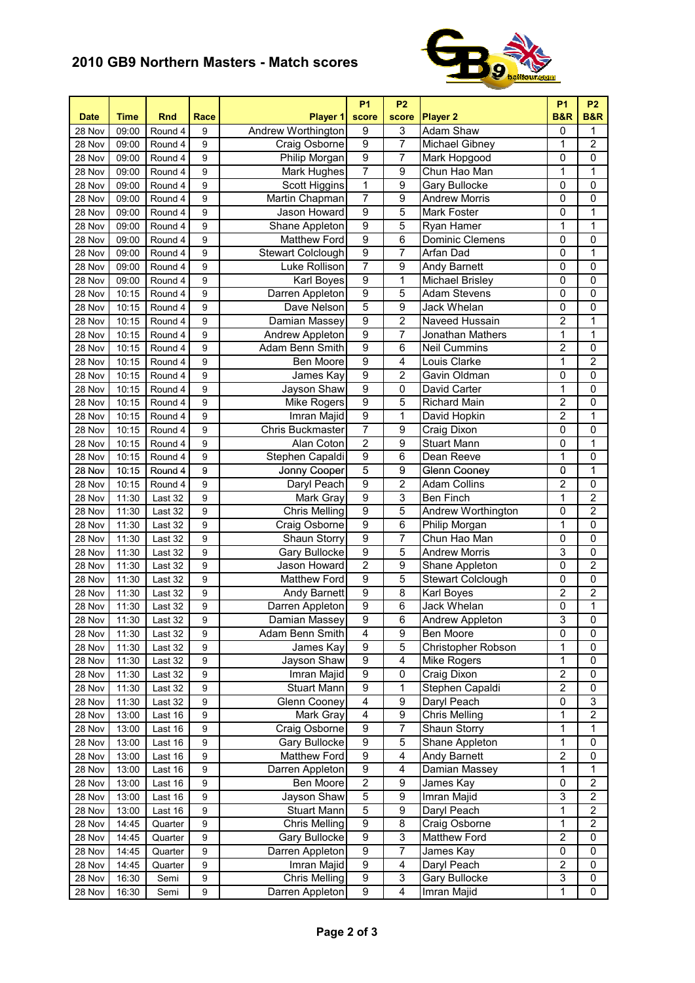## **2010 GB9 Northern Masters - Match scores**



| <b>Date</b> | Time  | <b>Rnd</b> | Race             | Player 1                 | <b>P1</b><br>score      | <b>P2</b><br>score      | <b>Player 2</b>        | <b>P1</b><br><b>B&amp;R</b> | <b>P2</b><br><b>B&amp;R</b> |
|-------------|-------|------------|------------------|--------------------------|-------------------------|-------------------------|------------------------|-----------------------------|-----------------------------|
| 28 Nov      | 09:00 | Round 4    | 9                | Andrew Worthington       | $\boldsymbol{9}$        | 3                       | <b>Adam Shaw</b>       | 0                           | 1                           |
| 28 Nov      | 09:00 | Round 4    | 9                | Craig Osborne            | $\overline{9}$          | 7                       | Michael Gibney         | 1                           | $\overline{\mathbf{c}}$     |
| 28 Nov      | 09:00 | Round 4    | 9                | Philip Morgan            | $\overline{9}$          | 7                       | Mark Hopgood           | 0                           | 0                           |
| 28 Nov      | 09:00 | Round 4    | 9                | Mark Hughes              | 7                       | $\overline{9}$          | Chun Hao Man           | 1                           | 1                           |
| 28 Nov      | 09:00 | Round 4    | 9                | Scott Higgins            | $\overline{1}$          | 9                       | Gary Bullocke          | 0                           | 0                           |
| 28 Nov      | 09:00 | Round 4    | 9                | <b>Martin Chapman</b>    | 7                       | 9                       | <b>Andrew Morris</b>   | 0                           | $\overline{0}$              |
| 28 Nov      | 09:00 | Round 4    | 9                | Jason Howard             | $\overline{9}$          | 5                       | <b>Mark Foster</b>     | 0                           | 1                           |
| 28 Nov      | 09:00 | Round 4    | 9                | Shane Appleton           | $\overline{9}$          | 5                       | Ryan Hamer             | $\mathbf 1$                 | $\mathbf{1}$                |
| 28 Nov      | 09:00 | Round 4    | 9                | <b>Matthew Ford</b>      | $\overline{9}$          | 6                       | Dominic Clemens        | $\mathsf 0$                 | 0                           |
| 28 Nov      | 09:00 | Round 4    | 9                | <b>Stewart Colclough</b> | $\overline{9}$          | 7                       | Arfan Dad              | $\mathsf 0$                 | $\mathbf{1}$                |
| 28 Nov      | 09:00 | Round 4    | 9                | Luke Rollison            | 7                       | 9                       | Andy Barnett           | $\pmb{0}$                   | 0                           |
| 28 Nov      | 09:00 | Round 4    | 9                | Karl Boyes               | 9                       | 1                       | Michael Brisley        | $\pmb{0}$                   | 0                           |
| 28 Nov      | 10:15 | Round 4    | 9                | Darren Appleton          | 9                       | 5                       | <b>Adam Stevens</b>    | $\pmb{0}$                   | 0                           |
| 28 Nov      | 10:15 | Round 4    | 9                | Dave Nelson              | 5                       | 9                       | Jack Whelan            | $\mathsf 0$                 | 0                           |
| 28 Nov      | 10:15 | Round 4    | 9                | Damian Massey            | $\overline{9}$          | $\overline{\mathbf{c}}$ | Naveed Hussain         | $\overline{2}$              | 1                           |
| 28 Nov      | 10:15 | Round 4    | 9                | Andrew Appleton          | $\overline{9}$          | 7                       | Jonathan Mathers       | 1                           | 1                           |
| 28 Nov      | 10:15 | Round 4    | 9                | <b>Adam Benn Smith</b>   | $\overline{9}$          | 6                       | <b>Neil Cummins</b>    | $\overline{\mathbf{c}}$     | 0                           |
| 28 Nov      | 10:15 | Round 4    | 9                | Ben Moore                | $\overline{9}$          | 4                       | Louis Clarke           | 1                           | $\overline{2}$              |
| 28 Nov      | 10:15 | Round 4    | 9                | James Kay                | $\overline{9}$          | $\overline{2}$          | Gavin Oldman           | $\mathsf 0$                 | $\overline{0}$              |
| 28 Nov      | 10:15 | Round 4    | 9                | Jayson Shaw              | $\overline{9}$          | 0                       | David Carter           | $\mathbf 1$                 | 0                           |
| 28 Nov      | 10:15 | Round 4    | 9                | <b>Mike Rogers</b>       | $\overline{9}$          | 5                       | <b>Richard Main</b>    | $\overline{2}$              | 0                           |
| 28 Nov      | 10:15 | Round 4    | 9                | Imran Majid              | $\overline{9}$          | $\overline{1}$          | David Hopkin           | $\overline{2}$              | $\overline{1}$              |
| 28 Nov      | 10:15 | Round 4    | 9                | <b>Chris Buckmaster</b>  | 7                       | 9                       | Craig Dixon            | 0                           | 0                           |
| 28 Nov      | 10:15 | Round 4    | 9                | Alan Coton               | $\overline{2}$          | 9                       | <b>Stuart Mann</b>     | 0                           | $\overline{1}$              |
| 28 Nov      | 10:15 | Round 4    | 9                | Stephen Capaldi          | $\overline{9}$          | 6                       | Dean Reeve             | 1                           | 0                           |
| 28 Nov      | 10:15 | Round 4    | $\boldsymbol{9}$ | Jonny Cooper             | 5                       | 9                       | <b>Glenn Cooney</b>    | $\overline{0}$              | 1                           |
| 28 Nov      | 10:15 | Round 4    | 9                | Daryl Peach              | $\overline{9}$          | $\overline{2}$          | <b>Adam Collins</b>    | $\overline{2}$              | 0                           |
| 28 Nov      | 11:30 | Last 32    | 9                | Mark Gray                | $\overline{9}$          | 3                       | Ben Finch              | $\mathbf 1$                 | $\overline{2}$              |
| 28 Nov      | 11:30 | Last 32    | 9                | <b>Chris Melling</b>     | $\overline{9}$          | 5                       | Andrew Worthington     | $\pmb{0}$                   | $\overline{2}$              |
| 28 Nov      | 11:30 | Last 32    | 9                | Craig Osborne            | $\overline{9}$          | 6                       | Philip Morgan          | 1                           | 0                           |
| 28 Nov      | 11:30 | Last 32    | 9                | Shaun Storry             | $\overline{9}$          | 7                       | Chun Hao Man           | 0                           | 0                           |
| 28 Nov      | 11:30 | Last 32    | 9                | Gary Bullocke            | $\boldsymbol{9}$        | 5                       | <b>Andrew Morris</b>   | 3                           | 0                           |
| 28 Nov      | 11:30 | Last 32    | 9                | Jason Howard             | $\overline{2}$          | 9                       | Shane Appleton         | 0                           | $\overline{2}$              |
| 28 Nov      | 11:30 | Last 32    | 9                | <b>Matthew Ford</b>      | $\overline{9}$          | 5                       | Stewart Colclough      | $\mathsf 0$                 | 0                           |
| 28 Nov      | 11:30 | Last 32    | 9                | Andy Barnett             | $\overline{9}$          | $\overline{8}$          | Karl Boyes             | $\overline{2}$              | $\overline{2}$              |
| 28 Nov      | 11:30 | Last 32    | 9                | Darren Appleton          | $\overline{9}$          | 6                       | Jack Whelan            | $\overline{0}$              | $\mathbf{1}$                |
| 28 Nov      | 11:30 | Last 32    | 9                | Damian Massey            | $\overline{9}$          | $\overline{6}$          | <b>Andrew Appleton</b> | 3                           | 0                           |
| 28 Nov      | 11:30 | Last 32    | 9                | Adam Benn Smith          | $\overline{\mathbf{4}}$ | 9                       | Ben Moore              | 0                           | 0                           |
| 28 Nov      | 11:30 | Last 32    | 9                | James Kay                | $\overline{9}$          | 5                       | Christopher Robson     | 1                           | 0                           |
| 28 Nov      | 11:30 | Last 32    | 9                | Jayson Shaw              | $\boldsymbol{9}$        | 4                       | Mike Rogers            | 1                           | 0                           |
| 28 Nov      | 11:30 | Last 32    | 9                | Imran Majid              | $\boldsymbol{9}$        | 0                       | Craig Dixon            | $\overline{2}$              | 0                           |
| 28 Nov      | 11:30 | Last 32    | 9                | Stuart Mann              | $\boldsymbol{9}$        | 1                       | Stephen Capaldi        | $\overline{2}$              | 0                           |
| 28 Nov      | 11:30 | Last 32    | 9                | Glenn Cooney             | $\overline{\mathbf{4}}$ | $\overline{9}$          | Daryl Peach            | $\overline{0}$              | 3                           |
| 28 Nov      | 13:00 | Last 16    | 9                | <b>Mark Gray</b>         | $\overline{4}$          | $\overline{9}$          | <b>Chris Melling</b>   | $\overline{1}$              | $\overline{2}$              |
| 28 Nov      | 13:00 | Last 16    | 9                | Craig Osborne            | 9                       | 7                       | Shaun Storry           | $\mathbf{1}$                | 1                           |
| 28 Nov      | 13:00 | Last 16    | 9                | Gary Bullocke            | 9                       | 5                       | Shane Appleton         | $\mathbf 1$                 | 0                           |
| 28 Nov      | 13:00 | Last 16    | 9                | Matthew Ford             | $\boldsymbol{9}$        | 4                       | Andy Barnett           | $\mathbf 2$                 | 0                           |
| 28 Nov      | 13:00 | Last 16    | 9                | Darren Appleton          | $\boldsymbol{9}$        | 4                       | Damian Massey          | 1                           | 1                           |
| 28 Nov      | 13:00 | Last 16    | 9                | Ben Moore                | $\boldsymbol{2}$        | 9                       | James Kay              | 0                           | 2                           |
| 28 Nov      | 13:00 | Last 16    | 9                | Jayson Shaw              | $\overline{5}$          | 9                       | Imran Majid            | 3                           | $\overline{\mathbf{c}}$     |
| 28 Nov      | 13:00 | Last 16    | 9                | Stuart Mann              | $\overline{5}$          | 9                       | Daryl Peach            | $\mathbf 1$                 | 2                           |
| 28 Nov      | 14:45 | Quarter    | 9                | <b>Chris Melling</b>     | $\overline{9}$          | 8                       | Craig Osborne          | 1                           | $\mathbf 2$                 |
| 28 Nov      | 14:45 | Quarter    | 9                | Gary Bullocke            | 9                       | 3                       | Matthew Ford           | $\boldsymbol{2}$            | 0                           |
| 28 Nov      | 14:45 | Quarter    | 9                | Darren Appleton          | 9                       | 7                       | James Kay              | $\pmb{0}$                   | 0                           |
| 28 Nov      | 14:45 | Quarter    | 9                | Imran Majid              | $\boldsymbol{9}$        | 4                       | Daryl Peach            | $\overline{2}$              | 0                           |
| 28 Nov      | 16:30 | Semi       | 9                | <b>Chris Melling</b>     | $\overline{9}$          | 3                       | Gary Bullocke          | 3                           | 0                           |
| 28 Nov      | 16:30 | Semi       | 9                | Darren Appleton          | 9                       | 4                       | Imran Majid            | 1                           | $\pmb{0}$                   |